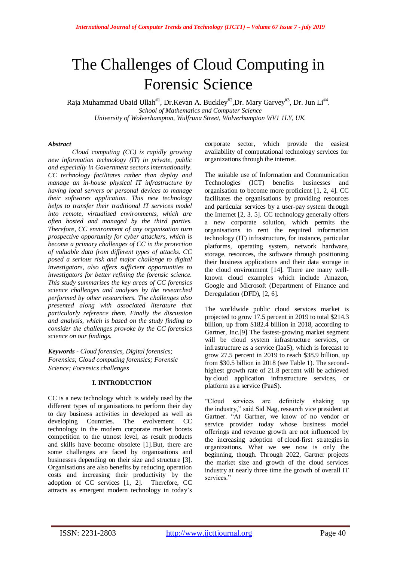# The Challenges of Cloud Computing in Forensic Science

Raja Muhammad Ubaid Ullah#1, Dr.Kevan A. Buckley#2,Dr. Mary Garvey#3, Dr. Jun Li#4. *School of Mathematics and Computer Science University of Wolverhampton, Wulfruna Street, Wolverhampton WV1 1LY, UK.*

### *Abstract*

*Cloud computing (CC) is rapidly growing new information technology (IT) in private, public and especially in Government sectors internationally. CC technology facilitates rather than deploy and manage an in-house physical IT infrastructure by having local servers or personal devices to manage their softwares application. This new technology helps to transfer their traditional IT services model into remote, virtualised environments, which are often hosted and managed by the third parties. Therefore, CC environment of any organisation turn prospective opportunity for cyber attackers, which is become a primary challenges of CC in the protection of valuable data from different types of attacks. CC posed a serious risk and major challenge to digital investigators, also offers sufficient opportunities to investigators for better refining the forensic science. This study summarises the key areas of CC forensics science challenges and analyses by the researched performed by other researchers. The challenges also presented along with associated literature that particularly reference them. Finally the discussion and analysis, which is based on the study finding to consider the challenges provoke by the CC forensics science on our findings.* 

*Keywords - Cloud forensics, Digital forensics; Forensics; Cloud computing forensics; Forensic Science; Forensics challenges*

## **I. INTRODUCTION**

CC is a new technology which is widely used by the different types of organisations to perform their day to day business activities in developed as well as developing Countries. The evolvement CC technology in the modern corporate market boosts competition to the utmost level, as result products and skills have become obsolete [1].But, there are some challenges are faced by organisations and businesses depending on their size and structure [3]. Organisations are also benefits by reducing operation costs and increasing their productivity by the adoption of CC services [1, 2]. Therefore, CC attracts as emergent modern technology in today"s

corporate sector, which provide the easiest availability of computational technology services for organizations through the internet.

The suitable use of Information and Communication Technologies (ICT) benefits businesses and organisation to become more proficient [1, 2, 4]. CC facilitates the organisations by providing resources and particular services by a user-pay system through the Internet [2, 3, 5]. CC technology generally offers a new corporate solution, which permits the organisations to rent the required information technology (IT) infrastructure, for instance, particular platforms, operating system, network hardware, storage, resources, the software through positioning their business applications and their data storage in the cloud environment [14]. There are many wellknown cloud examples which include Amazon, Google and Microsoft (Department of Finance and Deregulation (DFD), [2, 6].

The worldwide public cloud services market is projected to grow 17.5 percent in 2019 to total \$214.3 billion, up from \$182.4 billion in 2018, according to Gartner, Inc.[9] The fastest-growing market segment will be cloud system infrastructure services, or infrastructure as a service (IaaS), which is forecast to grow 27.5 percent in 2019 to reach \$38.9 billion, up from \$30.5 billion in 2018 (see Table 1). The secondhighest growth rate of 21.8 percent will be achieved by cloud application infrastructure services, or platform as a service (PaaS).

"Cloud services are definitely shaking up the industry," said Sid Nag, research vice president at Gartner. "At Gartner, we know of no vendor or service provider today whose business model offerings and revenue growth are not influenced by the increasing adoption of cloud-first strategies in organizations. What we see now is only the beginning, though. Through 2022, Gartner projects the market size and growth of the cloud services industry at nearly three time the growth of overall IT services."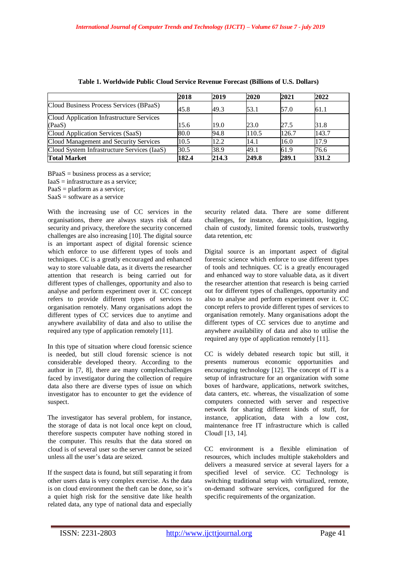|                                             | 2018  | 2019  | 2020  | 2021  | 2022  |
|---------------------------------------------|-------|-------|-------|-------|-------|
| Cloud Business Process Services (BPaaS)     | 45.8  | 49.3  | 53.1  | 57.0  | 61.1  |
| Cloud Application Infrastructure Services   |       |       |       |       |       |
| (PaaS)                                      | 15.6  | 19.0  | 23.0  | 27.5  | 31.8  |
| Cloud Application Services (SaaS)           | 80.0  | 94.8  | 110.5 | 126.7 | 143.7 |
| Cloud Management and Security Services      | 10.5  | 12.2  | 14.1  | 16.0  | 17.9  |
| Cloud System Infrastructure Services (IaaS) | 30.5  | 38.9  | 49.1  | 61.9  | 76.6  |
| <b>Total Market</b>                         | 182.4 | 214.3 | 249.8 | 289.1 | 331.2 |

| Table 1. Worldwide Public Cloud Service Revenue Forecast (Billions of U.S. Dollars) |  |  |  |  |
|-------------------------------------------------------------------------------------|--|--|--|--|
|                                                                                     |  |  |  |  |

 $BPaaS = \text{business process as a service};$ 

 $IaaS = infrastructure as a service:$ 

 $PaaS = platform$  as a service;

 $SaaS = software as a service$ 

With the increasing use of CC services in the organisations, there are always stays risk of data security and privacy, therefore the security concerned challenges are also increasing [10]. The digital source is an important aspect of digital forensic science which enforce to use different types of tools and techniques. CC is a greatly encouraged and enhanced way to store valuable data, as it diverts the researcher attention that research is being carried out for different types of challenges, opportunity and also to analyse and perform experiment over it. CC concept refers to provide different types of services to organisation remotely. Many organisations adopt the different types of CC services due to anytime and anywhere availability of data and also to utilise the required any type of application remotely [11].

In this type of situation where cloud forensic science is needed, but still cloud forensic science is not considerable developed theory. According to the author in [7, 8], there are many complexchallenges faced by investigator during the collection of require data also there are diverse types of issue on which investigator has to encounter to get the evidence of suspect.

The investigator has several problem, for instance, the storage of data is not local once kept on cloud, therefore suspects computer have nothing stored in the computer. This results that the data stored on cloud is of several user so the server cannot be seized unless all the user"s data are seized.

If the suspect data is found, but still separating it from other users data is very complex exercise. As the data is on cloud environment the theft can be done, so it's a quiet high risk for the sensitive date like health related data, any type of national data and especially security related data. There are some different challenges, for instance, data acquisition, logging, chain of custody, limited forensic tools, trustworthy data retention, etc

Digital source is an important aspect of digital forensic science which enforce to use different types of tools and techniques. CC is a greatly encouraged and enhanced way to store valuable data, as it divert the researcher attention that research is being carried out for different types of challenges, opportunity and also to analyse and perform experiment over it. CC concept refers to provide different types of services to organisation remotely. Many organisations adopt the different types of CC services due to anytime and anywhere availability of data and also to utilise the required any type of application remotely [11].

CC is widely debated research topic but still, it presents numerous economic opportunities and encouraging technology [12]. The concept of IT is a setup of infrastructure for an organization with some boxes of hardware, applications, network switches, data canters, etc. whereas, the visualization of some computers connected with server and respective network for sharing different kinds of stuff, for instance, application, data with a low cost, maintenance free IT infrastructure which is called Cloud‖ [13, 14].

CC environment is a flexible elimination of resources, which includes multiple stakeholders and delivers a measured service at several layers for a specified level of service. CC Technology is switching traditional setup with virtualized, remote, on-demand software services, configured for the specific requirements of the organization.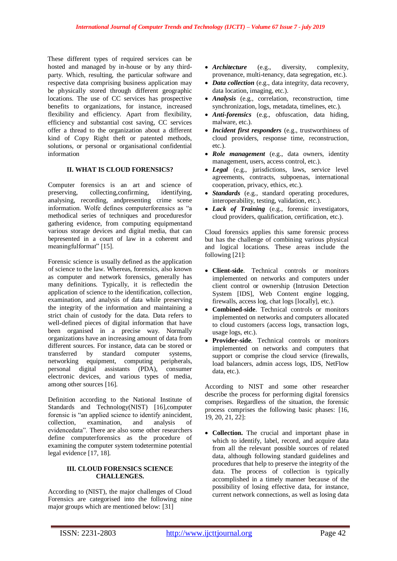These different types of required services can be hosted and managed by in-house or by any thirdparty. Which, resulting, the particular software and respective data comprising business application may be physically stored through different geographic locations. The use of CC services has prospective benefits to organizations, for instance, increased flexibility and efficiency. Apart from flexibility, efficiency and substantial cost saving, CC services offer a thread to the organization about a different kind of Copy Right theft or patented methods, solutions, or personal or organisational confidential information

#### **II. WHAT IS CLOUD FORENSICS?**

Computer forensics is an art and science of preserving, collecting,confirming, identifying, analysing, recording, andpresenting crime scene information. Wolfe defines computerforensics as "a methodical series of techniques and proceduresfor gathering evidence, from computing equipmentand various storage devices and digital media, that can bepresented in a court of law in a coherent and meaningfulformat" [15].

Forensic science is usually defined as the application of science to the law. Whereas, forensics, also known as computer and network forensics, generally has many definitions. Typically, it is reflectedin the application of science to the identification, collection, examination, and analysis of data while preserving the integrity of the information and maintaining a strict chain of custody for the data. Data refers to well-defined pieces of digital information that have been organised in a precise way. Normally organizations have an increasing amount of data from different sources. For instance, data can be stored or transferred by standard computer systems, networking equipment, computing peripherals, personal digital assistants (PDA), consumer electronic devices, and various types of media, among other sources [16].

Definition according to the National Institute of Standards and Technology(NIST) [16],computer forensic is "an applied science to identify anincident, collection, examination, and analysis of evidencedata". There are also some other researchers define computerforensics as the procedure of examining the computer system todetermine potential legal evidence [17, 18].

#### **III. CLOUD FORENSICS SCIENCE CHALLENGES.**

According to (NIST), the major challenges of Cloud Forensics are categorised into the following nine major groups which are mentioned below: [31]

- *Architecture* (e.g., diversity, complexity, provenance, multi-tenancy, data segregation, etc.).
- *Data collection* (e.g., data integrity, data recovery, data location, imaging, etc.).
- *Analysis* (e.g., correlation, reconstruction, time synchronization, logs, metadata, timelines, etc.).
- *Anti-forensics* (e.g., obfuscation, data hiding, malware, etc.).
- *Incident first responders* (e.g., trustworthiness of cloud providers, response time, reconstruction, etc.).
- *Role management* (e.g., data owners, identity management, users, access control, etc.).
- *Legal* (e.g., jurisdictions, laws, service level agreements, contracts, subpoenas, international cooperation, privacy, ethics, etc.).
- *Standards* (e.g., standard operating procedures, interoperability, testing, validation, etc.).
- *Lack of Training* (e.g., forensic investigators, cloud providers, qualification, certification, etc.).

Cloud forensics applies this same forensic process but has the challenge of combining various physical and logical locations. These areas include the following [21]:

- **Client-side**. Technical controls or monitors implemented on networks and computers under client control or ownership (Intrusion Detection System [IDS], Web Content engine logging, firewalls, access log, chat logs [locally], etc.).
- **Combined-side**. Technical controls or monitors implemented on networks and computers allocated to cloud customers (access logs, transaction logs, usage logs, etc.).
- **Provider-side**. Technical controls or monitors implemented on networks and computers that support or comprise the cloud service (firewalls, load balancers, admin access logs, IDS, NetFlow data, etc.).

According to NIST and some other researcher describe the process for performing digital forensics comprises. Regardless of the situation, the forensic process comprises the following basic phases: [16, 19, 20, 21, 22]:

 **Collection.** The crucial and important phase in which to identify, label, record, and acquire data from all the relevant possible sources of related data, although following standard guidelines and procedures that help to preserve the integrity of the data. The process of collection is typically accomplished in a timely manner because of the possibility of losing effective data, for instance, current network connections, as well as losing data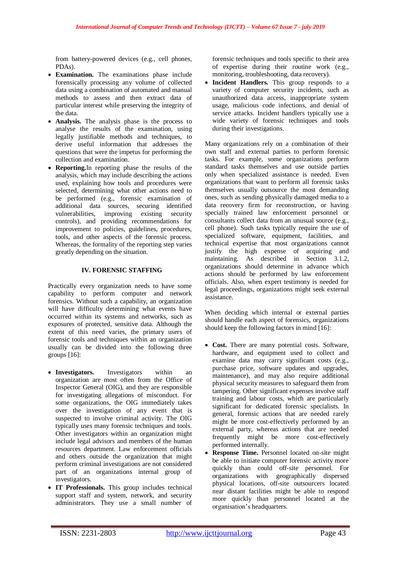from battery-powered devices (e.g., cell phones, PDAs).

- **Examination.** The examinations phase include forensically processing any volume of collected data using a combination of automated and manual methods to assess and then extract data of particular interest while preserving the integrity of the data.
- **Analysis.** The analysis phase is the process to analyse the results of the examination, using legally justifiable methods and techniques, to derive useful information that addresses the questions that were the impetus for performing the collection and examination.
- **Reporting.**In reporting phase the results of the analysis, which may include describing the actions used, explaining how tools and procedures were selected, determining what other actions need to be performed (e.g., forensic examination of additional data sources, securing identified vulnerabilities, improving existing security controls), and providing recommendations for improvement to policies, guidelines, procedures, tools, and other aspects of the forensic process. Whereas, the formality of the reporting step varies greatly depending on the situation.

## **IV. FORENSIC STAFFING**

Practically every organization needs to have some capability to perform computer and network forensics. Without such a capability, an organization will have difficulty determining what events have occurred within its systems and networks, such as exposures of protected, sensitive data. Although the extent of this need varies, the primary users of forensic tools and techniques within an organization usually can be divided into the following three groups [16]:

- **Investigators.** Investigators within an organization are most often from the Office of Inspector General (OIG), and they are responsible for investigating allegations of misconduct. For some organizations, the OIG immediately takes over the investigation of any event that is suspected to involve criminal activity. The OIG typically uses many forensic techniques and tools. Other investigators within an organization might include legal advisors and members of the human resources department. Law enforcement officials and others outside the organization that might perform criminal investigations are not considered part of an organizations internal group of investigators.
- **IT Professionals.** This group includes technical support staff and system, network, and security administrators. They use a small number of

forensic techniques and tools specific to their area of expertise during their routine work (e.g., monitoring, troubleshooting, data recovery).

 **Incident Handlers.** This group responds to a variety of computer security incidents, such as unauthorized data access, inappropriate system usage, malicious code infections, and denial of service attacks. Incident handlers typically use a wide variety of forensic techniques and tools during their investigations.

Many organizations rely on a combination of their own staff and external parties to perform forensic tasks. For example, some organizations perform standard tasks themselves and use outside parties only when specialized assistance is needed. Even organizations that want to perform all forensic tasks themselves usually outsource the most demanding ones, such as sending physically damaged media to a data recovery firm for reconstruction, or having specially trained law enforcement personnel or consultants collect data from an unusual source (e.g., cell phone). Such tasks typically require the use of specialized software, equipment, facilities, and technical expertise that most organizations cannot justify the high expense of acquiring and maintaining. As described in Section 3.1.2, organizations should determine in advance which actions should be performed by law enforcement officials. Also, when expert testimony is needed for legal proceedings, organizations might seek external assistance.

When deciding which internal or external parties should handle each aspect of forensics, organizations should keep the following factors in mind [16]:

- **Cost.** There are many potential costs. Software, hardware, and equipment used to collect and examine data may carry significant costs (e.g., purchase price, software updates and upgrades, maintenance), and may also require additional physical security measures to safeguard them from tampering. Other significant expenses involve staff training and labour costs, which are particularly significant for dedicated forensic specialists. In general, forensic actions that are needed rarely might be more cost-effectively performed by an external party, whereas actions that are needed frequently might be more cost-effectively performed internally.
- **Response Time.** Personnel located on-site might be able to initiate computer forensic activity more quickly than could off-site personnel. For organizations with geographically dispersed physical locations, off-site outsourcers located near distant facilities might be able to respond more quickly than personnel located at the organisation"s headquarters.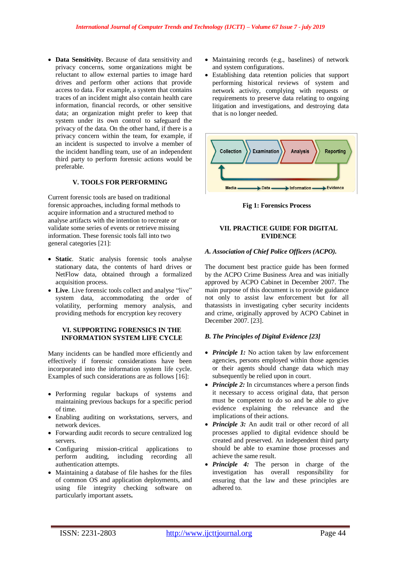• Data Sensitivity. Because of data sensitivity and privacy concerns, some organizations might be reluctant to allow external parties to image hard drives and perform other actions that provide access to data. For example, a system that contains traces of an incident might also contain health care information, financial records, or other sensitive data; an organization might prefer to keep that system under its own control to safeguard the privacy of the data. On the other hand, if there is a privacy concern within the team, for example, if an incident is suspected to involve a member of the incident handling team, use of an independent third party to perform forensic actions would be preferable.

### **V. TOOLS FOR PERFORMING**

Current forensic tools are based on traditional forensic approaches, including formal methods to acquire information and a structured method to analyse artifacts with the intention to recreate or validate some series of events or retrieve missing information. These forensic tools fall into two general categories [21]:

- **Static**. Static analysis forensic tools analyse stationary data, the contents of hard drives or NetFlow data, obtained through a formalized acquisition process.
- **Live**. Live forensic tools collect and analyse "live" system data, accommodating the order of volatility, performing memory analysis, and providing methods for encryption key recovery

## **VI. SUPPORTING FORENSICS IN THE INFORMATION SYSTEM LIFE CYCLE**

Many incidents can be handled more efficiently and effectively if forensic considerations have been incorporated into the information system life cycle. Examples of such considerations are as follows [16]:

- Performing regular backups of systems and maintaining previous backups for a specific period of time.
- Enabling auditing on workstations, servers, and network devices.
- Forwarding audit records to secure centralized log servers.
- Configuring mission-critical applications to perform auditing, including recording all authentication attempts.
- Maintaining a database of file hashes for the files of common OS and application deployments, and using file integrity checking software on particularly important assets**.**
- Maintaining records (e.g., baselines) of network and system configurations.
- Establishing data retention policies that support performing historical reviews of system and network activity, complying with requests or requirements to preserve data relating to ongoing litigation and investigations, and destroying data that is no longer needed.



**Fig 1: Forensics Process**

#### **VII. PRACTICE GUIDE FOR DIGITAL EVIDENCE**

### *A. Association of Chief Police Officers (ACPO).*

The document best practice guide has been formed by the ACPO Crime Business Area and was initially approved by ACPO Cabinet in December 2007. The main purpose of this document is to provide guidance not only to assist law enforcement but for all thatassists in investigating cyber security incidents and crime, originally approved by ACPO Cabinet in December 2007. [23].

# *B. The Principles of Digital Evidence [23]*

- *Principle 1:* No action taken by law enforcement agencies, persons employed within those agencies or their agents should change data which may subsequently be relied upon in court.
- *Principle 2:* In circumstances where a person finds it necessary to access original data, that person must be competent to do so and be able to give evidence explaining the relevance and the implications of their actions.
- *Principle 3:* An audit trail or other record of all processes applied to digital evidence should be created and preserved. An independent third party should be able to examine those processes and achieve the same result.
- *Principle 4:* The person in charge of the investigation has overall responsibility for ensuring that the law and these principles are adhered to.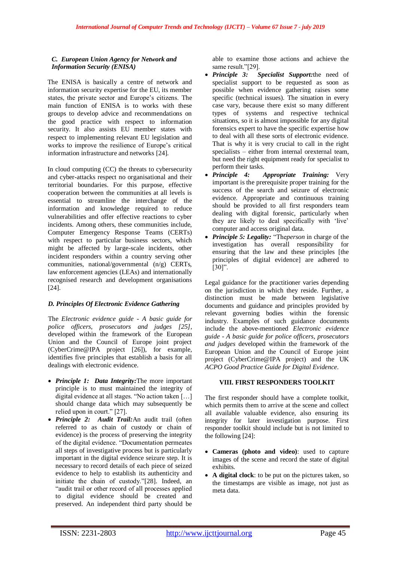## *C. European Union Agency for Network and Information Security (ENISA)*

The ENISA is basically a centre of network and information security expertise for the EU, its member states, the private sector and Europe"s citizens. The main function of ENISA is to works with these groups to develop advice and recommendations on the good practice with respect to information security. It also assists EU member states with respect to implementing relevant EU legislation and works to improve the resilience of Europe's critical information infrastructure and networks [24].

In cloud computing (CC) the threats to cybersecurity and cyber-attacks respect no organisational and their territorial boundaries. For this purpose, effective cooperation between the communities at all levels is essential to streamline the interchange of the information and knowledge required to reduce vulnerabilities and offer effective reactions to cyber incidents. Among others, these communities include, Computer Emergency Response Teams (CERTs) with respect to particular business sectors, which might be affected by large-scale incidents, other incident responders within a country serving other communities, national/governmental (n/g) CERTs, law enforcement agencies (LEAs) and internationally recognised research and development organisations [24].

### *D. Principles Of Electronic Evidence Gathering*

The *Electronic evidence guide - A basic guide for police officers, prosecutors and judges [25]*, developed within the framework of the European Union and the Council of Europe joint project (CyberCrime@IPA project [26]), for example, identifies five principles that establish a basis for all dealings with electronic evidence.

- *Principle 1: Data Integrity:*The more important principle is to must maintained the integrity of digital evidence at all stages. "No action taken […] should change data which may subsequently be relied upon in court." [27].
- *Principle 2: Audit Trail:*An audit trail (often referred to as chain of custody or chain of evidence) is the process of preserving the integrity of the digital evidence. "Documentation permeates all steps of investigative process but is particularly important in the digital evidence seizure step. It is necessary to record details of each piece of seized evidence to help to establish its authenticity and initiate the chain of custody."[28]. Indeed, an "audit trail or other record of all processes applied to digital evidence should be created and preserved. An independent third party should be

able to examine those actions and achieve the same result."[29].

- *Principle 3: Specialist Support:*the need of specialist support to be requested as soon as possible when evidence gathering raises some specific (technical issues). The situation in every case vary, because there exist so many different types of systems and respective technical situations, so it is almost impossible for any digital forensics expert to have the specific expertise how to deal with all these sorts of electronic evidence. That is why it is very crucial to call in the right specialists – either from internal orexternal team, but need the right equipment ready for specialist to perform their tasks.
- *Principle 4: Appropriate Training:* Very important is the prerequisite proper training for the success of the search and seizure of electronic evidence. Appropriate and continuous training should be provided to all first responders team dealing with digital forensic, particularly when they are likely to deal specifically with "live" computer and access original data.
- *Principle 5: Legality:* "The*person* in charge of the investigation has overall responsibility for ensuring that the law and these principles [the principles of digital evidence] are adhered to [30]".

Legal guidance for the practitioner varies depending on the jurisdiction in which they reside. Further, a distinction must be made between legislative documents and guidance and principles provided by relevant governing bodies within the forensic industry. Examples of such guidance documents include the above-mentioned *Electronic evidence guide - A basic guide for police officers, prosecutors and judges* developed within the framework of the European Union and the Council of Europe joint project (CyberCrime@IPA project) and the UK *ACPO Good Practice Guide for Digital Evidence*.

# **VIII. FIRST RESPONDERS TOOLKIT**

The first responder should have a complete toolkit, which permits them to arrive at the scene and collect all available valuable evidence, also ensuring its integrity for later investigation purpose. First responder toolkit should include but is not limited to the following [24]:

- **Cameras (photo and video)**: used to capture images of the scene and record the state of digital exhibits.
- **A digital clock**: to be put on the pictures taken, so the timestamps are visible as image, not just as meta data.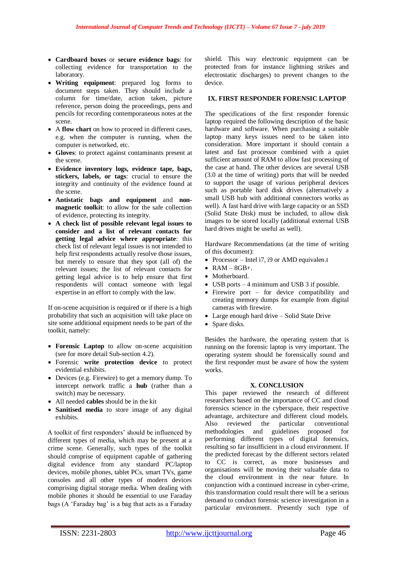- **Cardboard boxes** or **secure evidence bags**: for collecting evidence for transportation to the laboratory.
- **Writing equipment**: prepared log forms to document steps taken. They should include a column for time/date, action taken, picture reference, person doing the proceedings, pens and pencils for recording contemporaneous notes at the scene.
- A **flow chart** on how to proceed in different cases, e.g. when the computer is running, when the computer is networked, etc.
- **Gloves**: to protect against contaminants present at the scene.
- **Evidence inventory logs, evidence tape, bags, stickers, labels, or tags**: crucial to ensure the integrity and continuity of the evidence found at the scene.
- **Antistatic bags and equipment** and **nonmagnetic toolkit**: to allow for the safe collection of evidence, protecting its integrity.
- **A check list of possible relevant legal issues to consider and a list of relevant contacts for getting legal advice where appropriate**: this check list of relevant legal issues is not intended to help first respondents actually resolve those issues, but merely to ensure that they spot (all of) the relevant issues; the list of relevant contacts for getting legal advice is to help ensure that first respondents will contact someone with legal expertise in an effort to comply with the law.

If on-scene acquisition is required or if there is a high probability that such an acquisition will take place on site some additional equipment needs to be part of the toolkit, namely:

- **Forensic Laptop** to allow on-scene acquisition (see for more detail Sub-section 4.2).
- Forensic **write protection device** to protect evidential exhibits.
- Devices (e.g. Firewire) to get a memory dump. To intercept network traffic a **hub** (rather than a switch) may be necessary.
- All needed **cables** should be in the kit
- **Sanitised media** to store image of any digital exhibits.

A toolkit of first responders" should be influenced by different types of media, which may be present at a crime scene. Generally, such types of the toolkit should comprise of equipment capable of gathering digital evidence from any standard PC/laptop devices, mobile phones, tablet PCs, smart TVs, game consoles and all other types of modern devices comprising digital storage media. When dealing with mobile phones it should be essential to use Faraday bags (A "Faraday bag" is a bag that acts as a Faraday

shield. This way electronic equipment can be protected from for instance lightning strikes and electrostatic discharges) to prevent changes to the device.

### **IX. FIRST RESPONDER FORENSIC LAPTOP**

The specifications of the first responder forensic laptop required the following description of the basic hardware and software. When purchasing a suitable laptop many keys issues need to be taken into consideration. More important it should contain a latest and fast processor combined with a quiet sufficient amount of RAM to allow fast processing of the case at hand. The other devices are several USB (3.0 at the time of writing) ports that will be needed to support the usage of various peripheral devices such as portable hard disk drives (alternatively a small USB hub with additional connectors works as well). A fast hard drive with large capacity or an SSD (Solid State Disk) must be included, to allow disk images to be stored locally (additional external USB hard drives might be useful as well).

Hardware Recommendations (at the time of writing of this document):

- Processor Intel i7, i9 or AMD equivalen.t
- $\bullet$  RAM 8GB+.
- Motherboard.
- USB ports 4 minimum and USB 3 if possible.
- Firewire port for device compatibility and creating memory dumps for example from digital cameras with firewire.
- Large enough hard drive Solid State Drive
- Spare disks.

Besides the hardware, the operating system that is running on the forensic laptop is very important. The operating system should be forensically sound and the first responder must be aware of how the system works.

### **X. CONCLUSION**

This paper reviewed the research of different researchers based on the importance of CC and cloud forensics science in the cyberspace, their respective advantage, architecture and different cloud models.<br>Also reviewed the particular conventional Also reviewed the particular conventional methodologies and guidelines proposed for performing different types of digital forensics, resulting so far insufficient in a cloud environment. If the predicted forecast by the different sectors related to CC is correct, as more businesses and organisations will be moving their valuable data to the cloud environment in the near future. In conjunction with a continued increase in cyber-crime, this transformation could result there will be a serious demand to conduct forensic science investigation in a particular environment. Presently such type of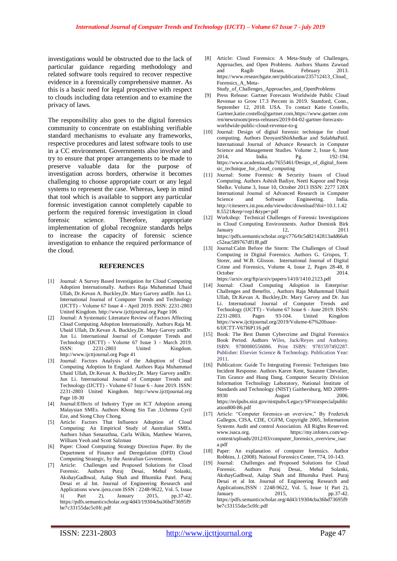investigations would be obstructed due to the lack of particular guidance regarding methodology and related software tools required to recover respective evidence in a forensically comprehensive manner. As this is a basic need for legal prospective with respect to clouds including data retention and to examine the privacy of laws.

The responsibility also goes to the digital forensics community to concentrate on establishing verifiable standard mechanisms to evaluate any frameworks, respective procedures and latest software tools to use in a CC environment. Governments also involve and try to ensure that proper arrangements to be made to preserve valuable data for the purpose of investigation across borders, otherwise it becomes challenging to choose appropriate court or any legal systems to represent the case. Whereas, keep in mind that tool which is available to support any particular forensic investigation cannot completely capable to perform the required forensic investigation in cloud forensic science. Therefore, appropriate implementation of global recognize standards helps to increase the capacity of forensic science investigation to enhance the required performance of the cloud.

#### **REFERENCES**

- [1] Journal: A Survey Based Investigation for Cloud Computing Adoption Internationally. Authors Raja Muhammad Ubaid Ullah, Dr.Kevan A. Buckley,Dr. Mary Garvey andDr. Jun Li. International Journal of Computer Trends and Technology (IJCTT) - Volume 67 Issue 4 - April 2019. ISSN: 2231-2803 United Kingdom. http://www.ijcttjournal.org Page 106
- [2] Journal: A Systematic Literature Review of Factors Affecting Cloud Computing Adoption Internationally. Authors Raja M. Ubaid Ullah, Dr.Kevan A. Buckley,Dr. Mary Garvey andDr. Jun Li. International Journal of Computer Trends and Technology (IJCTT) - Volume 67 Issue 3 - March 2019.<br>
ISSN: 2231-2803 - United Kingdom ISSN: 2231-2803 United Kingdom. http://www.ijcttjournal.org Page 41
- [3] Journal: Factors Analysis of the Adoption of Cloud Computing Adoption In England. Authors Raja Muhammad Ubaid Ullah, Dr.Kevan A. Buckley,Dr. Mary Garvey andDr. Jun Li. International Journal of Computer Trends and Technology (IJCTT) - Volume 67 Issue 6 - June 2019. ISSN: 2231-2803 United Kingdom. http://www.ijcttjournal.org Page 18-30
- [4] Journal:Effects of Industry Type on ICT Adoption among Malaysian SMEs. Authors Khong Sin Tan ,Uchenna Cyril Eze, and Siong Choy Chong.
- [5] Article: Factors That Influence Adoption of Cloud Computing: An Empirical Study of Australian SMEs. Authors Ishan Senarathna, Carla Wilkin, Matthew Warren, William Yeoh and Scott Salzman
- [6] Paper: Cloud Computing Strategy Direction Paper. By the Department of Finance and Deregulation (DFD) Cloud Computing Strategic, by the Australian Government.
- [7] Article: Challenges and Proposed Solutions for Cloud Forensic. Authors Puraj Desai, Mehul Solanki, AkshayGadhwal, Aalap Shah and Bhumika Patel. Puraj Desai et al Int. Journal of Engineering Research and Applications www.ijera.com ISSN : 2248-9622, Vol. 5, Issue 1( Part 2), January 2015, pp.37-42. [https://pdfs.semanticscholar.org/4d43/19304cba36bd73695f9](https://pdfs.semanticscholar.org/4d43/19304cba36bd73695f9be7c33155dac5c0fc.pdf) [be7c33155dac5c0fc.pdf](https://pdfs.semanticscholar.org/4d43/19304cba36bd73695f9be7c33155dac5c0fc.pdf)

[8] Article: Cloud Forensics: A Meta-Study of Challenges, Approaches, and Open Problems. Authors Shams Zawoad and Ragib Hasan. February 2013. [https://www.researchgate.net/publication/235712413\\_Cloud\\_](https://www.researchgate.net/publication/235712413_Cloud_Forensics_A_Meta-Study_of_Challenges_Approaches_and_OpenProblems) [Forensics\\_A\\_Meta-](https://www.researchgate.net/publication/235712413_Cloud_Forensics_A_Meta-Study_of_Challenges_Approaches_and_OpenProblems)

[Study\\_of\\_Challenges\\_Approaches\\_and\\_OpenProblems](https://www.researchgate.net/publication/235712413_Cloud_Forensics_A_Meta-Study_of_Challenges_Approaches_and_OpenProblems)

- Press Release: Gartner Forecasts Worldwide Public Cloud Revenue to Grow 17.3 Percent in 2019. Stamford, Conn., September 12, 2018. USA. To contact Katie Costello, Gartne[r,katie.costello@gartner.com,](mailto:katie.costello@gartner.com)[https://www.gartner.com](https://www.gartner.com/en/newsroom/press-releases/2019-04-02-gartner-forecasts-worldwide-public-cloud-revenue-to-g) [/en/newsroom/press-releases/2019-04-02-gartner-forecasts](https://www.gartner.com/en/newsroom/press-releases/2019-04-02-gartner-forecasts-worldwide-public-cloud-revenue-to-g)[worldwide-public-cloud-revenue-to-g](https://www.gartner.com/en/newsroom/press-releases/2019-04-02-gartner-forecasts-worldwide-public-cloud-revenue-to-g)
- [10] Journal: Design of digital forensic technique for cloud computing. Authors DeoyaniShirkhedkar and SulabhaPatil. International Journal of Advance Research in Computer Science and Management Studies. Volume 2, Issue 6, June 2014, India. Pg. 192-194. [https://www.academia.edu/7655461/Design\\_of\\_digital\\_foren](https://www.academia.edu/7655461/Design_of_digital_forensic_technique_for_cloud_computing) [sic\\_technique\\_for\\_cloud\\_computing](https://www.academia.edu/7655461/Design_of_digital_forensic_technique_for_cloud_computing)
- [11] Journal: Some Forensic & Security Issues of Cloud Computing. Authors Ashish Badiye, Neeti Kapoor and Pooja Shelke. Volume 3, Issue 10, October 2013 ISSN: 2277 128X International Journal of Advanced Research in Computer Science and Software Engineering. India. [http://citeseerx.ist.psu.edu/viewdoc/download?doi=10.1.1.42](http://citeseerx.ist.psu.edu/viewdoc/download?doi=10.1.1.428.5521&rep=rep1&type=pdf) [8.5521&rep=rep1&type=pdf](http://citeseerx.ist.psu.edu/viewdoc/download?doi=10.1.1.428.5521&rep=rep1&type=pdf)
- [12] Workshop: Technical Challenges of Forensic Investigations in Cloud Computing Environments. Author Dominik Birk  $January \t\t 12, \t\t 2011$ [https://pdfs.semanticscholar.org/c776/0c5d82142813add66ab](https://pdfs.semanticscholar.org/c776/0c5d82142813add66abc52eac589767df1f8.pdf) [c52eac589767df1f8.pdf](https://pdfs.semanticscholar.org/c776/0c5d82142813add66abc52eac589767df1f8.pdf)
- [13] Journal:Calm Before the Storm: The Challenges of Cloud Computing in Digital Forensics. Authors G. Grispos, T. Storer, and W.B. Glisson. International Journal of Digital Crime and Forensics, Volume 4, Issue 2, Pages 28-48, 8 **October** <https://arxiv.org/ftp/arxiv/papers/1410/1410.2123.pdf>
- [14] Journal: [Cloud Computing Adoption in Enterprise:](https://www.ijcttjournal.org/archives/ijctt-v67i4p122)  [Challenges and Benefits.](https://www.ijcttjournal.org/archives/ijctt-v67i4p122) , Authors Raja Muhammad Ubaid Ullah, Dr.Kevan A. Buckley,Dr. Mary Garvey and Dr. Jun Li. International Journal of Computer Trends and Technology (IJCTT) - Volume 67 Issue 6 - June 2019. ISSN: 2231-2803. Pages 93-104. United Kingdom [https://www.ijcttjournal.org/2019/Volume-67%20Issue-](https://www.ijcttjournal.org/2019/Volume-67%20Issue-6/IJCTT-V67I6P116.pdf)[6/IJCTT-V67I6P116.pdf](https://www.ijcttjournal.org/2019/Volume-67%20Issue-6/IJCTT-V67I6P116.pdf)
- [15] Book: The Best Damm Cybercrime and Digital Forensics Book Period. Authors Wiles, Jack/Reyes and Anthony. ISBN: 9780080556086. Print ISBN: 9781597492287. Publisher: Elsevier Science & Technology. Publication Year: 2011.
- [16] Publication: Guide To Integrating Forensic Techniques Into Incident Response. Authors Karen Kent, Suzanne Chevalier, Tim Grance and Hung Dang. Computer Security Division Information Technology Laboratory, National Institute of Standards and Technology (NIST) Gaithersburg, MD 20899- 8930 August 2006. [https://nvlpubs.nist.gov/nistpubs/Legacy/SP/nistspecialpublic](https://nvlpubs.nist.gov/nistpubs/Legacy/SP/nistspecialpublication800-86.pdf) [ation800-86.pdf](https://nvlpubs.nist.gov/nistpubs/Legacy/SP/nistspecialpublication800-86.pdf)
- [17] Article: "Computer forensics–an overview," By Frederick Gallegos, CISA, CDE, CGFM, Copyright 2005, Information Systems Audit and control Association. All Rights Reserved. [www.isaca.org.](http://www.isaca.org/) [https://my.infotex.com/wp](https://my.infotex.com/wp-content/uploads/2012/03/computer_forensics_overview_isaca.pdf)[content/uploads/2012/03/computer\\_forensics\\_overview\\_isac](https://my.infotex.com/wp-content/uploads/2012/03/computer_forensics_overview_isaca.pdf) [a.pdf](https://my.infotex.com/wp-content/uploads/2012/03/computer_forensics_overview_isaca.pdf)
- [18] Paper: An explanation of computer forensics. Author Robbins, J. (2008). National Forensics Center, 774, 10-143.
- [19] Journal: Challenges and Proposed Solutions for Cloud Forensic. Authors Puraj Desai, Mehul Solanki, AkshayGadhwal, Aalap Shah and Bhumika Patel. Puraj Desai et al Int. Journal of Engineering Research and Applications,ISSN : 2248-9622, Vol. 5, Issue 1( Part 2), January 2015, pp.37-42. [https://pdfs.semanticscholar.org/4d43/19304cba36bd73695f9](https://pdfs.semanticscholar.org/4d43/19304cba36bd73695f9be7c33155dac5c0fc.pdf) [be7c33155dac5c0fc.pdf](https://pdfs.semanticscholar.org/4d43/19304cba36bd73695f9be7c33155dac5c0fc.pdf)